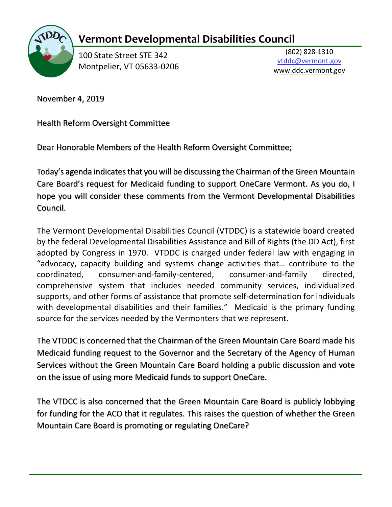

## **Vermont Developmental Disabilities Council**

100 State Street STE 342 Montpelier, VT 05633-0206

(802) 828-1310 vtddc@vermont.gov www.ddc.vermont.gov

November 4, 2019

Health Reform Oversight Committee

Dear Honorable Members of the Health Reform Oversight Committee;

Today's agenda indicates that you will be discussing the Chairman of the Green Mountain Care Board's request for Medicaid funding to support OneCare Vermont. As you do, I hope you will consider these comments from the Vermont Developmental Disabilities Council.

The Vermont Developmental Disabilities Council (VTDDC) is a statewide board created by the federal Developmental Disabilities Assistance and Bill of Rights (the DD Act), first adopted by Congress in 1970. VTDDC is charged under federal law with engaging in "advocacy, capacity building and systems change activities that… contribute to the coordinated, consumer-and-family-centered, consumer-and-family directed, comprehensive system that includes needed community services, individualized supports, and other forms of assistance that promote self-determination for individuals with developmental disabilities and their families." Medicaid is the primary funding source for the services needed by the Vermonters that we represent.

The VTDDC is concerned that the Chairman of the Green Mountain Care Board made his Medicaid funding request to the Governor and the Secretary of the Agency of Human Services without the Green Mountain Care Board holding a public discussion and vote on the issue of using more Medicaid funds to support OneCare.

The VTDCC is also concerned that the Green Mountain Care Board is publicly lobbying for funding for the ACO that it regulates. This raises the question of whether the Green Mountain Care Board is promoting or regulating OneCare?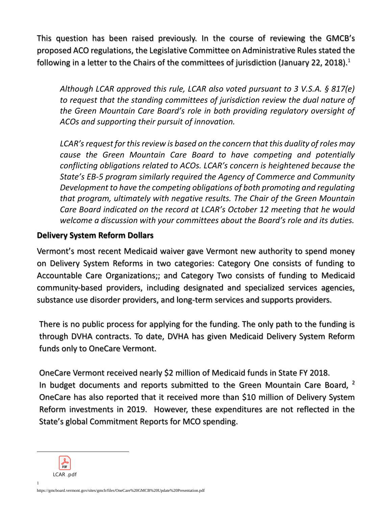This question has been raised previously. In the course of reviewing the GMCB's proposed ACO regulations, the Legislative Committee on Administrative Rules stated the following in a letter to the Chairs of the committees of jurisdiction (January 22, 2018).<sup>1</sup>

*Although LCAR approved this rule, LCAR also voted pursuant to 3 V.S.A. § 817(e) to request that the standing committees of jurisdiction review the dual nature of the Green Mountain Care Board's role in both providing regulatory oversight of ACOs and supporting their pursuit of innovation.* 

*LCAR's request for this review is based on the concern that this duality of roles may cause the Green Mountain Care Board to have competing and potentially conflicting obligations related to ACOs. LCAR's concern is heightened because the State's EB-5 program similarly required the Agency of Commerce and Community Development to have the competing obligations of both promoting and regulating that program, ultimately with negative results. The Chair of the Green Mountain Care Board indicated on the record at LCAR's October 12 meeting that he would welcome a discussion with your committees about the Board's role and its duties.* 

## **Delivery System Reform Dollars**

Vermont's most recent Medicaid waiver gave Vermont new authority to spend money on Delivery System Reforms in two categories: Category One consists of funding to Accountable Care Organizations;; and Category Two consists of funding to Medicaid community-based providers, including designated and specialized services agencies, substance use disorder providers, and long-term services and supports providers.

There is no public process for applying for the funding. The only path to the funding is through DVHA contracts. To date, DVHA has given Medicaid Delivery System Reform funds only to OneCare Vermont.

OneCare Vermont received nearly \$2 million of Medicaid funds in State FY 2018. In budget documents and reports submitted to the Green Mountain Care Board,  $^2$ OneCare has also reported that it received more than \$10 million of Delivery System Reform investments in 2019. However, these expenditures are not reflected in the State's global Commitment Reports for MCO spending.

PDF LCAR .pdf

 $\overline{a}$ 

1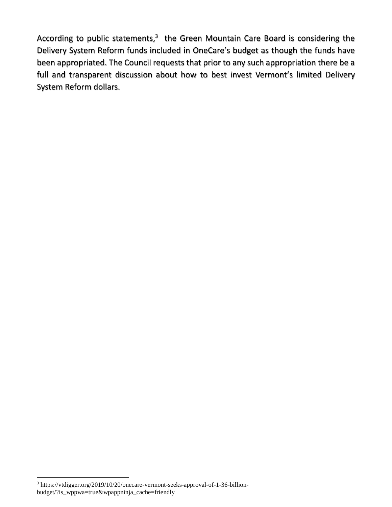According to public statements,<sup>3</sup> the Green Mountain Care Board is considering the Delivery System Reform funds included in OneCare's budget as though the funds have been appropriated. The Council requests that prior to any such appropriation there be a full and transparent discussion about how to best invest Vermont's limited Delivery System Reform dollars.

 $\overline{a}$ 

<sup>3</sup> https://vtdigger.org/2019/10/20/onecare-vermont-seeks-approval-of-1-36-billionbudget/?is\_wppwa=true&wpappninja\_cache=friendly